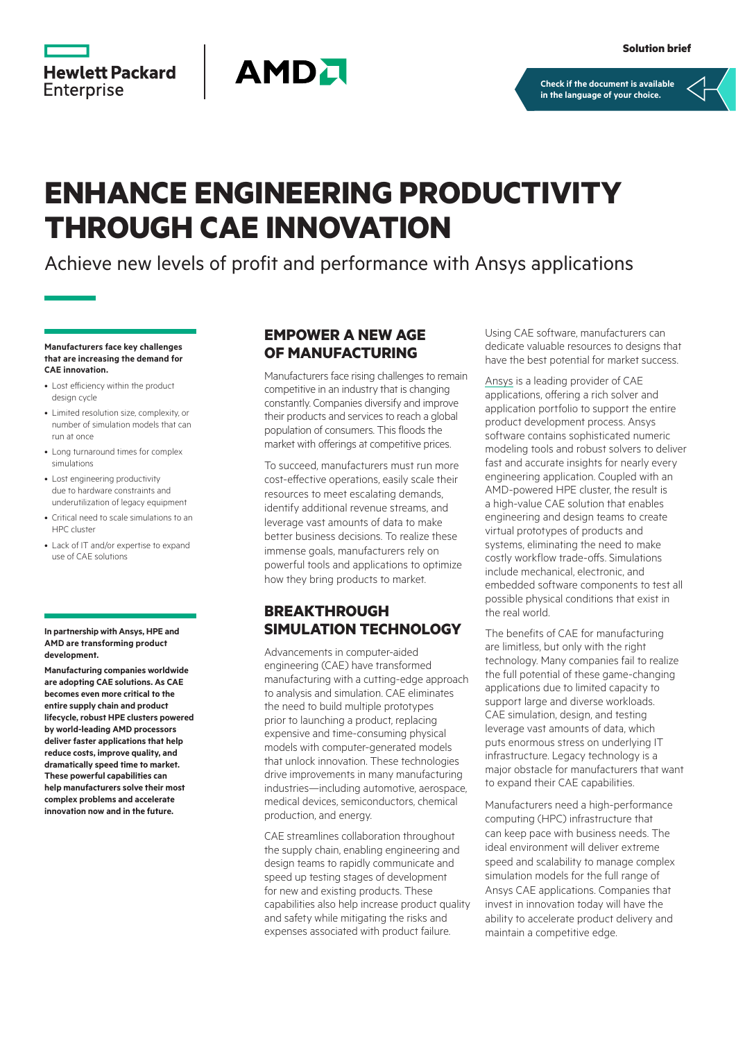



**[Check if the document is available](https://psnow.ext.hpe.com/collection-resources/a00112195ENW)  in the language of your choice.**

# **ENHANCE ENGINEERING PRODUCTIVITY THROUGH CAE INNOVATION**

Achieve new levels of profit and performance with Ansys applications

#### **Manufacturers face key challenges that are increasing the demand for CAE innovation.**

- Lost efficiency within the product design cycle
- Limited resolution size, complexity, or number of simulation models that can run at once
- Long turnaround times for complex simulations
- Lost engineering productivity due to hardware constraints and underutilization of legacy equipment
- Critical need to scale simulations to an HPC cluster
- Lack of IT and/or expertise to expand use of CAE solutions

#### **In partnership with Ansys, HPE and AMD are transforming product development.**

**Manufacturing companies worldwide are adopting CAE solutions. As CAE becomes even more critical to the entire supply chain and product lifecycle, robust HPE clusters powered by world-leading AMD processors deliver faster applications that help reduce costs, improve quality, and dramatically speed time to market. These powerful capabilities can help manufacturers solve their most complex problems and accelerate innovation now and in the future.**

#### **EMPOWER A NEW AGE OF MANUFACTURING**

Manufacturers face rising challenges to remain competitive in an industry that is changing constantly. Companies diversify and improve their products and services to reach a global population of consumers. This floods the market with offerings at competitive prices.

To succeed, manufacturers must run more cost-effective operations, easily scale their resources to meet escalating demands, identify additional revenue streams, and leverage vast amounts of data to make better business decisions. To realize these immense goals, manufacturers rely on powerful tools and applications to optimize how they bring products to market.

## **BREAKTHROUGH SIMULATION TECHNOLOGY**

Advancements in computer-aided engineering (CAE) have transformed manufacturing with a cutting-edge approach to analysis and simulation. CAE eliminates the need to build multiple prototypes prior to launching a product, replacing expensive and time-consuming physical models with computer-generated models that unlock innovation. These technologies drive improvements in many manufacturing industries—including automotive, aerospace, medical devices, semiconductors, chemical production, and energy.

CAE streamlines collaboration throughout the supply chain, enabling engineering and design teams to rapidly communicate and speed up testing stages of development for new and existing products. These capabilities also help increase product quality and safety while mitigating the risks and expenses associated with product failure.

Using CAE software, manufacturers can dedicate valuable resources to designs that have the best potential for market success.

[Ansys](https://www.ansys.com/) is a leading provider of CAE applications, offering a rich solver and application portfolio to support the entire product development process. Ansys software contains sophisticated numeric modeling tools and robust solvers to deliver fast and accurate insights for nearly every engineering application. Coupled with an AMD-powered HPE cluster, the result is a high-value CAE solution that enables engineering and design teams to create virtual prototypes of products and systems, eliminating the need to make costly workflow trade-offs. Simulations include mechanical, electronic, and embedded software components to test all possible physical conditions that exist in the real world.

The benefits of CAE for manufacturing are limitless, but only with the right technology. Many companies fail to realize the full potential of these game-changing applications due to limited capacity to support large and diverse workloads. CAE simulation, design, and testing leverage vast amounts of data, which puts enormous stress on underlying IT infrastructure. Legacy technology is a major obstacle for manufacturers that want to expand their CAE capabilities.

Manufacturers need a high-performance computing (HPC) infrastructure that can keep pace with business needs. The ideal environment will deliver extreme speed and scalability to manage complex simulation models for the full range of Ansys CAE applications. Companies that invest in innovation today will have the ability to accelerate product delivery and maintain a competitive edge.